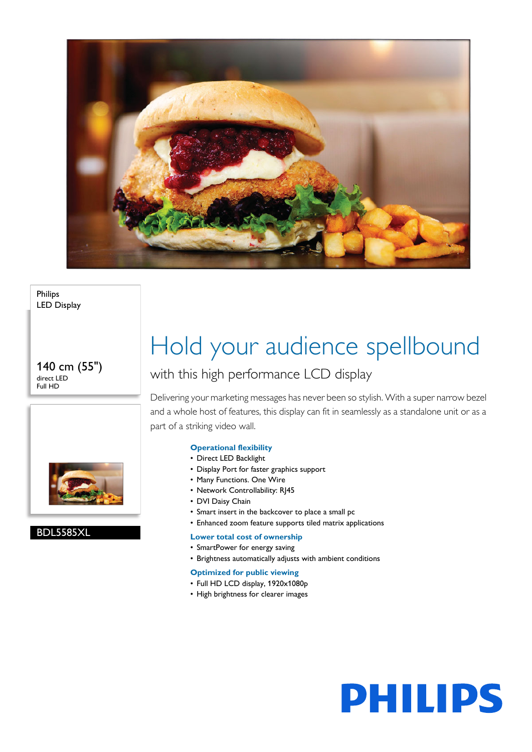

Philips LED Display

140 cm (55") direct LED Full HD



### BDL5585XL

# Hold your audience spellbound

### with this high performance LCD display

Delivering your marketing messages has never been so stylish. With a super narrow bezel and a whole host of features, this display can fit in seamlessly as a standalone unit or as a part of a striking video wall.

#### **Operational flexibility**

- Direct LED Backlight
- Display Port for faster graphics support
- Many Functions. One Wire
- Network Controllability: RJ45
- DVI Daisy Chain
- Smart insert in the backcover to place a small pc
- Enhanced zoom feature supports tiled matrix applications

#### **Lower total cost of ownership**

- SmartPower for energy saving
- Brightness automatically adjusts with ambient conditions

#### **Optimized for public viewing**

- Full HD LCD display, 1920x1080p
- High brightness for clearer images

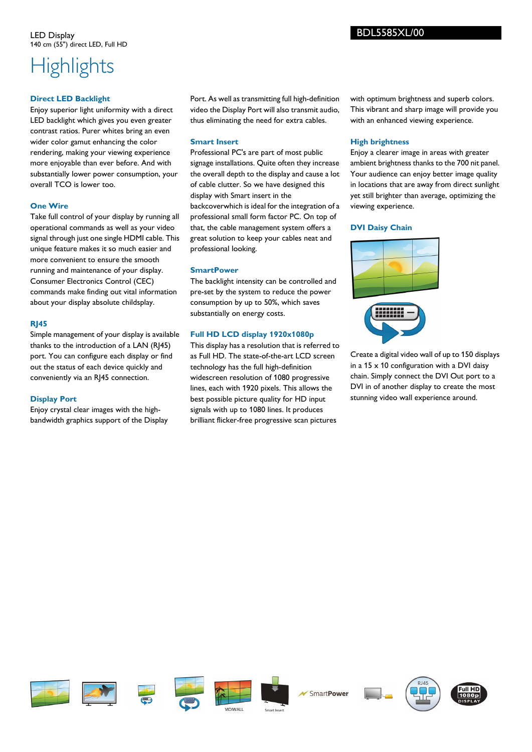## **Highlights**

#### **Direct LED Backlight**

Enjoy superior light uniformity with a direct LED backlight which gives you even greater contrast ratios. Purer whites bring an even wider color gamut enhancing the color rendering, making your viewing experience more enjoyable than ever before. And with substantially lower power consumption, your overall TCO is lower too.

#### **One Wire**

Take full control of your display by running all operational commands as well as your video signal through just one single HDMI cable. This unique feature makes it so much easier and more convenient to ensure the smooth running and maintenance of your display. Consumer Electronics Control (CEC) commands make finding out vital information about your display absolute childsplay.

#### **RJ45**

Simple management of your display is available thanks to the introduction of a LAN (RJ45) port. You can configure each display or find out the status of each device quickly and conveniently via an RJ45 connection.

#### **Display Port**

Enjoy crystal clear images with the highbandwidth graphics support of the Display Port. As well as transmitting full high-definition video the Display Port will also transmit audio, thus eliminating the need for extra cables.

#### **Smart Insert**

Professional PC's are part of most public signage installations. Quite often they increase the overall depth to the display and cause a lot of cable clutter. So we have designed this display with Smart insert in the backcoverwhich is ideal for the integration of a professional small form factor PC. On top of that, the cable management system offers a great solution to keep your cables neat and professional looking.

#### **SmartPower**

The backlight intensity can be controlled and pre-set by the system to reduce the power consumption by up to 50%, which saves substantially on energy costs.

#### **Full HD LCD display 1920x1080p**

This display has a resolution that is referred to as Full HD. The state-of-the-art LCD screen technology has the full high-definition widescreen resolution of 1080 progressive lines, each with 1920 pixels. This allows the best possible picture quality for HD input signals with up to 1080 lines. It produces brilliant flicker-free progressive scan pictures

with optimum brightness and superb colors. This vibrant and sharp image will provide you with an enhanced viewing experience.

#### **High brightness**

Enjoy a clearer image in areas with greater ambient brightness thanks to the 700 nit panel. Your audience can enjoy better image quality in locations that are away from direct sunlight yet still brighter than average, optimizing the viewing experience.

#### **DVI Daisy Chain**



Create a digital video wall of up to 150 displays in a  $15 \times 10$  configuration with a DVI daisy chain. Simply connect the DVI Out port to a DVI in of another display to create the most stunning video wall experience around.











SmartPower